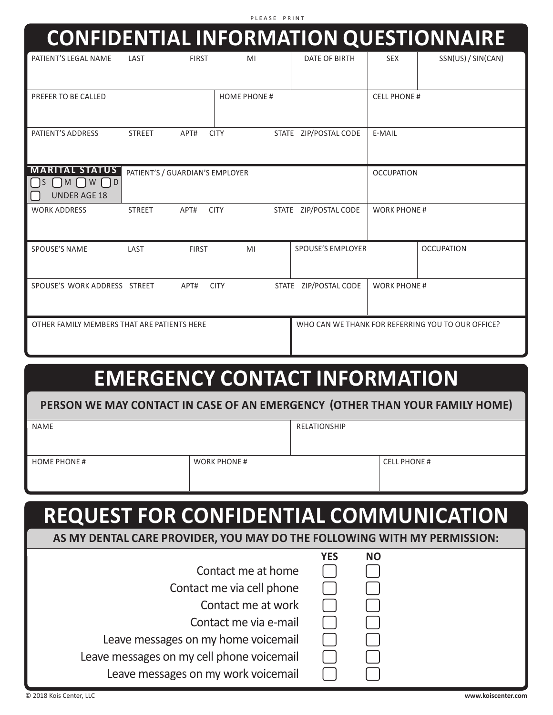P L E A S E P R I N T

|                                              |                                 |                     |                    |                          |                    | <b>CONFIDENTIAL INFORMATION QUESTIONNAIRE</b>     |
|----------------------------------------------|---------------------------------|---------------------|--------------------|--------------------------|--------------------|---------------------------------------------------|
| PATIENT'S LEGAL NAME                         | LAST                            | <b>FIRST</b>        | MI                 | DATE OF BIRTH            | <b>SEX</b>         | SSN(US) / SIN(CAN)                                |
| PREFER TO BE CALLED                          |                                 |                     | <b>HOME PHONE#</b> |                          | <b>CELL PHONE#</b> |                                                   |
| PATIENT'S ADDRESS                            | <b>STREET</b>                   | APT#<br><b>CITY</b> |                    | STATE ZIP/POSTAL CODE    | E-MAIL             |                                                   |
| <b>MARITAL STATUS</b><br><b>UNDER AGE 18</b> | PATIENT'S / GUARDIAN'S EMPLOYER |                     |                    | <b>OCCUPATION</b>        |                    |                                                   |
| <b>WORK ADDRESS</b>                          | <b>STREET</b>                   | APT#<br><b>CITY</b> |                    | STATE ZIP/POSTAL CODE    | <b>WORK PHONE#</b> |                                                   |
| <b>SPOUSE'S NAME</b>                         | LAST                            | <b>FIRST</b>        | MI                 | <b>SPOUSE'S EMPLOYER</b> |                    | <b>OCCUPATION</b>                                 |
| SPOUSE'S WORK ADDRESS STREET                 |                                 | APT#<br><b>CITY</b> |                    | STATE ZIP/POSTAL CODE    | <b>WORK PHONE#</b> |                                                   |
| OTHER FAMILY MEMBERS THAT ARE PATIENTS HERE  |                                 |                     |                    |                          |                    | WHO CAN WE THANK FOR REFERRING YOU TO OUR OFFICE? |

## **EMERGENCY CONTACT INFORMATION**

## **PERSON WE MAY CONTACT IN CASE OF AN EMERGENCY (OTHER THAN YOUR FAMILY HOME)**

| <b>NAME</b>        |                    | RELATIONSHIP |                     |
|--------------------|--------------------|--------------|---------------------|
|                    |                    |              |                     |
| <b>HOME PHONE#</b> | <b>WORK PHONE#</b> |              | <b>CELL PHONE #</b> |
|                    |                    |              |                     |

| <b>REQUEST FOR CONFIDENTIAL COMMUNICATION</b>                            |            |                    |
|--------------------------------------------------------------------------|------------|--------------------|
| AS MY DENTAL CARE PROVIDER, YOU MAY DO THE FOLLOWING WITH MY PERMISSION: |            |                    |
|                                                                          | <b>YES</b> | <b>NO</b>          |
| Contact me at home                                                       |            |                    |
| Contact me via cell phone                                                |            |                    |
| Contact me at work                                                       |            |                    |
| Contact me via e-mail                                                    |            |                    |
| Leave messages on my home voicemail                                      |            |                    |
| Leave messages on my cell phone voicemail                                |            |                    |
| Leave messages on my work voicemail                                      |            |                    |
| © 2018 Kois Center, LLC                                                  |            | www.koiscenter.com |